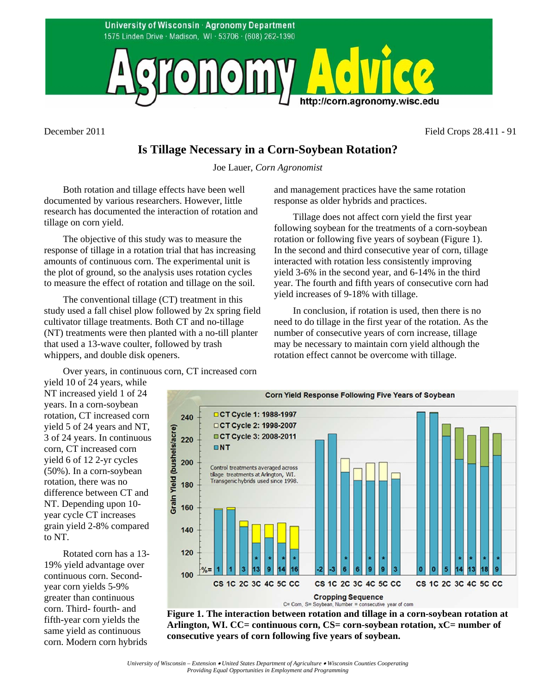

December 2011 Field Crops 28.411 - 91

## **Is Tillage Necessary in a Corn-Soybean Rotation?**

Joe Lauer, *Corn Agronomist*

Both rotation and tillage effects have been well documented by various researchers. However, little research has documented the interaction of rotation and tillage on corn yield.

The objective of this study was to measure the response of tillage in a rotation trial that has increasing amounts of continuous corn. The experimental unit is the plot of ground, so the analysis uses rotation cycles to measure the effect of rotation and tillage on the soil.

The conventional tillage (CT) treatment in this study used a fall chisel plow followed by 2x spring field cultivator tillage treatments. Both CT and no-tillage (NT) treatments were then planted with a no-till planter that used a 13-wave coulter, followed by trash whippers, and double disk openers.

Over years, in continuous corn, CT increased corn

yield 10 of 24 years, while NT increased yield 1 of 24 years. In a corn-soybean rotation, CT increased corn yield 5 of 24 years and NT, 3 of 24 years. In continuous corn, CT increased corn yield 6 of 12 2-yr cycles (50%). In a corn-soybean rotation, there was no difference between CT and NT. Depending upon 10 year cycle CT increases grain yield 2-8% compared to NT.

Rotated corn has a 13- 19% yield advantage over continuous corn. Secondyear corn yields 5-9% greater than continuous corn. Third- fourth- and fifth-year corn yields the same yield as continuous corn. Modern corn hybrids

and management practices have the same rotation response as older hybrids and practices.

Tillage does not affect corn yield the first year following soybean for the treatments of a corn-soybean rotation or following five years of soybean (Figure 1). In the second and third consecutive year of corn, tillage interacted with rotation less consistently improving yield 3-6% in the second year, and 6-14% in the third year. The fourth and fifth years of consecutive corn had yield increases of 9-18% with tillage.

In conclusion, if rotation is used, then there is no need to do tillage in the first year of the rotation. As the number of consecutive years of corn increase, tillage may be necessary to maintain corn yield although the rotation effect cannot be overcome with tillage.



**Figure 1. The interaction between rotation and tillage in a corn-soybean rotation at Arlington, WI. CC= continuous corn, CS= corn-soybean rotation, xC= number of consecutive years of corn following five years of soybean.**